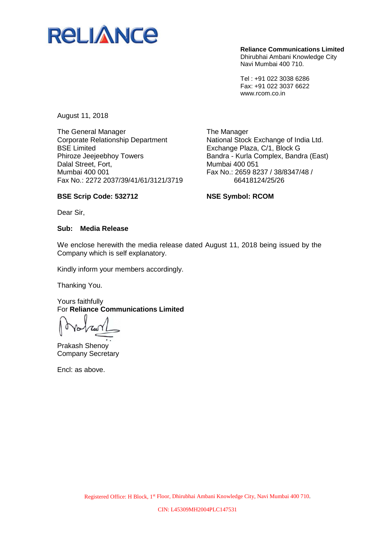

**Reliance Communications Limited** Dhirubhai Ambani Knowledge City

Navi Mumbai 400 710.

Tel : +91 022 3038 6286 Fax: +91 022 3037 6622 www.rcom.co.in

August 11, 2018

The General Manager Corporate Relationship Department BSE Limited Phiroze Jeejeebhoy Towers Dalal Street, Fort, Mumbai 400 001 Fax No.: 2272 2037/39/41/61/3121/3719

The Manager National Stock Exchange of India Ltd. Exchange Plaza, C/1, Block G Bandra - Kurla Complex, Bandra (East) Mumbai 400 051 Fax No.: 2659 8237 / 38/8347/48 / 66418124/25/26

## **BSE Scrip Code: 532712**

**NSE Symbol: RCOM**

Dear Sir,

## **Sub: Media Release**

We enclose herewith the media release dated August 11, 2018 being issued by the Company which is self explanatory.

Kindly inform your members accordingly.

Thanking You.

Yours faithfully For **Reliance Communications Limited**

Prakash Shenoy Company Secretary

Encl: as above.